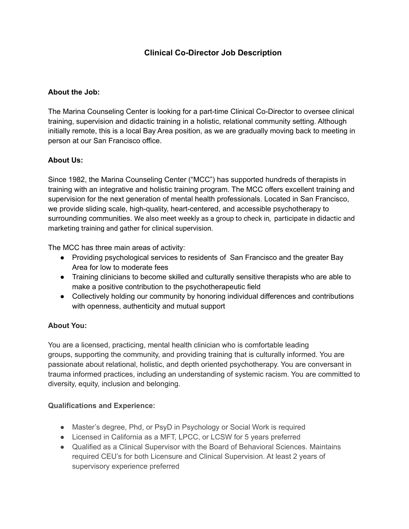# **Clinical Co-Director Job Description**

### **About the Job:**

The Marina Counseling Center is looking for a part-time Clinical Co-Director to oversee clinical training, supervision and didactic training in a holistic, relational community setting. Although initially remote, this is a local Bay Area position, as we are gradually moving back to meeting in person at our San Francisco office.

### **About Us:**

Since 1982, the Marina Counseling Center ("MCC") has supported hundreds of therapists in training with an integrative and holistic training program. The MCC offers excellent training and supervision for the next generation of mental health professionals. Located in San Francisco, we provide sliding scale, high-quality, heart-centered, and accessible psychotherapy to surrounding communities. We also meet weekly as a group to check in, participate in didactic and marketing training and gather for clinical supervision.

The MCC has three main areas of activity:

- Providing psychological services to residents of San Francisco and the greater Bay Area for low to moderate fees
- Training clinicians to become skilled and culturally sensitive therapists who are able to make a positive contribution to the psychotherapeutic field
- Collectively holding our community by honoring individual differences and contributions with openness, authenticity and mutual support

### **About You:**

You are a licensed, practicing, mental health clinician who is comfortable leading groups, supporting the community, and providing training that is culturally informed. You are passionate about relational, holistic, and depth oriented psychotherapy. You are conversant in trauma informed practices, including an understanding of systemic racism. You are committed to diversity, equity, inclusion and belonging.

### **Qualifications and Experience:**

- Master's degree, Phd, or PsyD in Psychology or Social Work is required
- Licensed in California as a MFT, LPCC, or LCSW for 5 years preferred
- Qualified as a Clinical Supervisor with the Board of Behavioral Sciences. Maintains required CEU's for both Licensure and Clinical Supervision. At least 2 years of supervisory experience preferred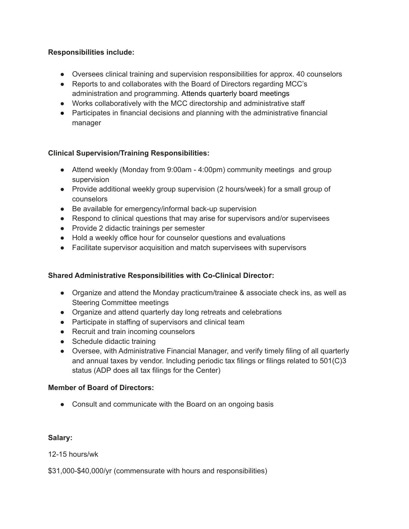### **Responsibilities include:**

- Oversees clinical training and supervision responsibilities for approx. 40 counselors
- Reports to and collaborates with the Board of Directors regarding MCC's administration and programming. Attends quarterly board meetings
- Works collaboratively with the MCC directorship and administrative staff
- Participates in financial decisions and planning with the administrative financial manager

### **Clinical Supervision/Training Responsibilities:**

- Attend weekly (Monday from 9:00am 4:00pm) community meetings and group supervision
- Provide additional weekly group supervision (2 hours/week) for a small group of counselors
- Be available for emergency/informal back-up supervision
- Respond to clinical questions that may arise for supervisors and/or supervisees
- Provide 2 didactic trainings per semester
- Hold a weekly office hour for counselor questions and evaluations
- Facilitate supervisor acquisition and match supervisees with supervisors

### **Shared Administrative Responsibilities with Co-Clinical Director:**

- Organize and attend the Monday practicum/trainee & associate check ins, as well as Steering Committee meetings
- Organize and attend quarterly day long retreats and celebrations
- Participate in staffing of supervisors and clinical team
- Recruit and train incoming counselors
- Schedule didactic training
- Oversee, with Administrative Financial Manager, and verify timely filing of all quarterly and annual taxes by vendor. Including periodic tax filings or filings related to 501(C)3 status (ADP does all tax filings for the Center)

### **Member of Board of Directors:**

• Consult and communicate with the Board on an ongoing basis

### **Salary:**

12-15 hours/wk

\$31,000-\$40,000/yr (commensurate with hours and responsibilities)